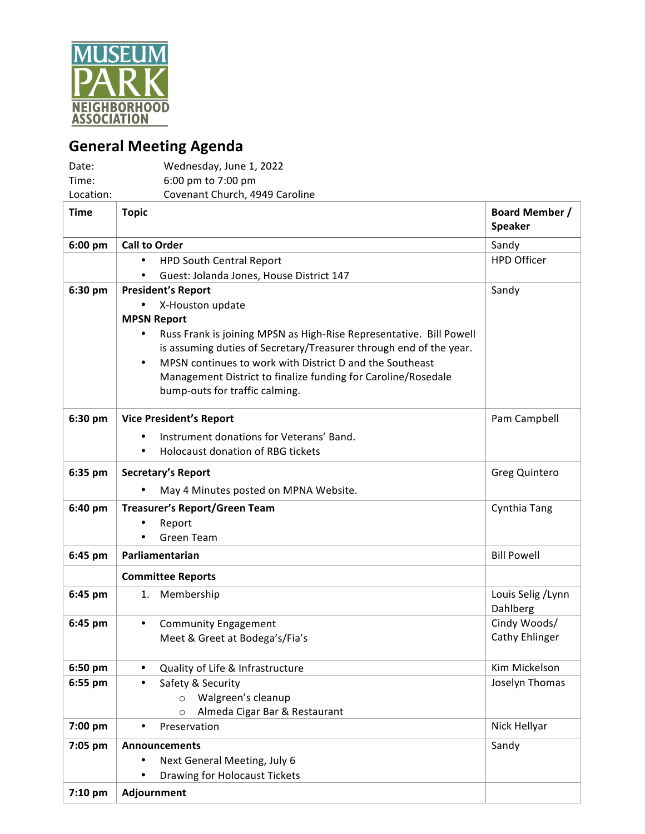

## **General Meeting Agenda**

| Date:       | Wednesday, June 1, 2022                                               |                                         |
|-------------|-----------------------------------------------------------------------|-----------------------------------------|
| Time:       | 6:00 pm to 7:00 pm                                                    |                                         |
| Location:   | Covenant Church, 4949 Caroline                                        |                                         |
| <b>Time</b> | <b>Topic</b>                                                          | <b>Board Member /</b><br><b>Speaker</b> |
| 6:00 pm     | <b>Call to Order</b>                                                  | Sandy                                   |
|             | <b>HPD South Central Report</b><br>$\bullet$                          | <b>HPD Officer</b>                      |
|             | Guest: Jolanda Jones, House District 147                              |                                         |
| 6:30 pm     | <b>President's Report</b>                                             | Sandy                                   |
|             | X-Houston update                                                      |                                         |
|             | <b>MPSN Report</b>                                                    |                                         |
|             | Russ Frank is joining MPSN as High-Rise Representative. Bill Powell   |                                         |
|             | is assuming duties of Secretary/Treasurer through end of the year.    |                                         |
|             | MPSN continues to work with District D and the Southeast<br>$\bullet$ |                                         |
|             | Management District to finalize funding for Caroline/Rosedale         |                                         |
|             | bump-outs for traffic calming.                                        |                                         |
| 6:30 pm     | <b>Vice President's Report</b>                                        | Pam Campbell                            |
|             | Instrument donations for Veterans' Band.                              |                                         |
|             | Holocaust donation of RBG tickets<br>$\bullet$                        |                                         |
| 6:35 pm     | <b>Secretary's Report</b>                                             | Greg Quintero                           |
|             |                                                                       |                                         |
|             | May 4 Minutes posted on MPNA Website.                                 |                                         |
| 6:40 pm     | <b>Treasurer's Report/Green Team</b>                                  | Cynthia Tang                            |
|             | Report                                                                |                                         |
|             | <b>Green Team</b>                                                     |                                         |
| 6:45 pm     | Parliamentarian                                                       | <b>Bill Powell</b>                      |
|             | <b>Committee Reports</b>                                              |                                         |
| 6:45 pm     | 1.<br>Membership                                                      | Louis Selig / Lynn                      |
|             |                                                                       | Dahlberg                                |
| 6:45 pm     | <b>Community Engagement</b><br>$\bullet$                              | Cindy Woods/                            |
|             | Meet & Greet at Bodega's/Fia's                                        | Cathy Ehlinger                          |
| 6:50 pm     | Quality of Life & Infrastructure<br>$\bullet$                         | Kim Mickelson                           |
| 6:55 pm     | Safety & Security<br>$\bullet$                                        | Joselyn Thomas                          |
|             | Walgreen's cleanup<br>$\circ$                                         |                                         |
|             | Almeda Cigar Bar & Restaurant<br>$\circ$                              |                                         |
| 7:00 pm     | Preservation                                                          | Nick Hellyar                            |
| 7:05 pm     | <b>Announcements</b>                                                  | Sandy                                   |
|             | Next General Meeting, July 6                                          |                                         |
|             | Drawing for Holocaust Tickets                                         |                                         |
| $7:10$ pm   | Adjournment                                                           |                                         |